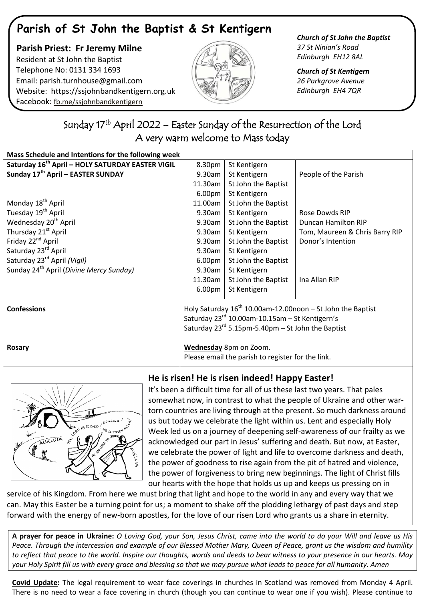# **Parish of St John the Baptist & St Kentigern**

 **Parish Priest: Fr Jeremy Milne** Resident at St John the Baptist Telephone No: 0131 334 1693 Email: [parish.turnhouse@gmail.com](mailto:parish.turnhouse@gmail.com)  Website: [https://ssjohnbandkentigern.org.uk](https://ssjohnbandkentigern.org.uk/) Facebook: [fb.me/ssjohnbandkentigern](https://fb.me/ssjohnbandkentigern)



*Church of St John the Baptist 37 St Ninian's Road Edinburgh EH12 8AL*

*Church of St Kentigern 26 Parkgrove Avenue Edinburgh EH4 7QR*

### ٦ Sunday 17<sup>th</sup> April 2022 – Easter Sunday of the Resurrection of the Lord A very warm welcome to Mass today

| Mass Schedule and Intentions for the following week          |                                                                                                                                                                             |                     |                                |
|--------------------------------------------------------------|-----------------------------------------------------------------------------------------------------------------------------------------------------------------------------|---------------------|--------------------------------|
| Saturday 16 <sup>th</sup> April - HOLY SATURDAY EASTER VIGIL | 8.30pm                                                                                                                                                                      | St Kentigern        |                                |
| Sunday 17th April - EASTER SUNDAY                            | 9.30am                                                                                                                                                                      | St Kentigern        | People of the Parish           |
|                                                              | 11.30am                                                                                                                                                                     | St John the Baptist |                                |
|                                                              | 6.00pm                                                                                                                                                                      | St Kentigern        |                                |
| Monday 18 <sup>th</sup> April                                | 11.00am                                                                                                                                                                     | St John the Baptist |                                |
| Tuesday 19 <sup>th</sup> April                               | 9.30am                                                                                                                                                                      | St Kentigern        | Rose Dowds RIP                 |
| Wednesday 20 <sup>th</sup> April                             | 9.30am                                                                                                                                                                      | St John the Baptist | Duncan Hamilton RIP            |
| Thursday 21 <sup>st</sup> April                              | 9.30am                                                                                                                                                                      | St Kentigern        | Tom, Maureen & Chris Barry RIP |
| Friday 22 <sup>nd</sup> April                                | 9.30am                                                                                                                                                                      | St John the Baptist | Donor's Intention              |
| Saturday 23rd April                                          | 9.30am                                                                                                                                                                      | St Kentigern        |                                |
| Saturday 23 <sup>rd</sup> April (Vigil)                      | 6.00 <sub>pm</sub>                                                                                                                                                          | St John the Baptist |                                |
| Sunday 24 <sup>th</sup> April (Divine Mercy Sunday)          | 9.30am                                                                                                                                                                      | St Kentigern        |                                |
|                                                              | 11.30am                                                                                                                                                                     | St John the Baptist | Ina Allan RIP                  |
|                                                              | 6.00pm                                                                                                                                                                      | St Kentigern        |                                |
| <b>Confessions</b>                                           | Holy Saturday $16^{th}$ 10.00am-12.00noon – St John the Baptist<br>Saturday 23rd 10.00am-10.15am - St Kentigern's<br>Saturday $23^{rd}$ 5.15pm-5.40pm – St John the Baptist |                     |                                |
| <b>Rosary</b>                                                | Wednesday 8pm on Zoom.<br>Please email the parish to register for the link.                                                                                                 |                     |                                |



## **He is risen! He is risen indeed! Happy Easter!**

It's been a difficult time for all of us these last two years. That pales somewhat now, in contrast to what the people of Ukraine and other wartorn countries are living through at the present. So much darkness around us but today we celebrate the light within us. Lent and especially Holy Week led us on a journey of deepening self-awareness of our frailty as we acknowledged our part in Jesus' suffering and death. But now, at Easter, we celebrate the power of light and life to overcome darkness and death, the power of goodness to rise again from the pit of hatred and violence, the power of forgiveness to bring new beginnings. The light of Christ fills our hearts with the hope that holds us up and keeps us pressing on in

service of his Kingdom. From here we must bring that light and hope to the world in any and every way that we can. May this Easter be a turning point for us; a moment to shake off the plodding lethargy of past days and step forward with the energy of new-born apostles, for the love of our risen Lord who grants us a share in eternity.

**A prayer for peace in Ukraine:** *O Loving God, your Son, Jesus Christ, came into the world to do your Will and leave us His Peace. Through the intercession and example of our Blessed Mother Mary, Queen of Peace, grant us the wisdom and humility to reflect that peace to the world. Inspire our thoughts, words and deeds to bear witness to your presence in our hearts. May your Holy Spirit fill us with every grace and blessing so that we may pursue what leads to peace for all humanity. Amen*

**Covid Update:** The legal requirement to wear face coverings in churches in Scotland was removed from Monday 4 April. There is no need to wear a face covering in church (though you can continue to wear one if you wish). Please continue to